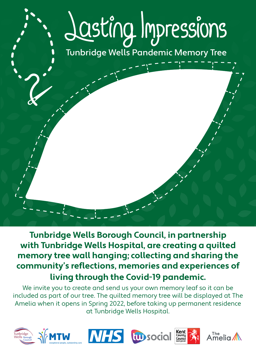## Jasting Impressions Tunbridge Wells Pandemic Memory Tree

**Tunbridge Wells Borough Council, in partnership with Tunbridge Wells Hospital, are creating a quilted memory tree wall hanging; collecting and sharing the community's reflections, memories and experiences of living through the Covid-19 pandemic.**

We invite you to create and send us your own memory leaf so it can be included as part of our tree. The quilted memory tree will be displayed at The Amelia when it opens in Spring 2022, before taking up permanent residence at Tunbridge Wells Hospital.